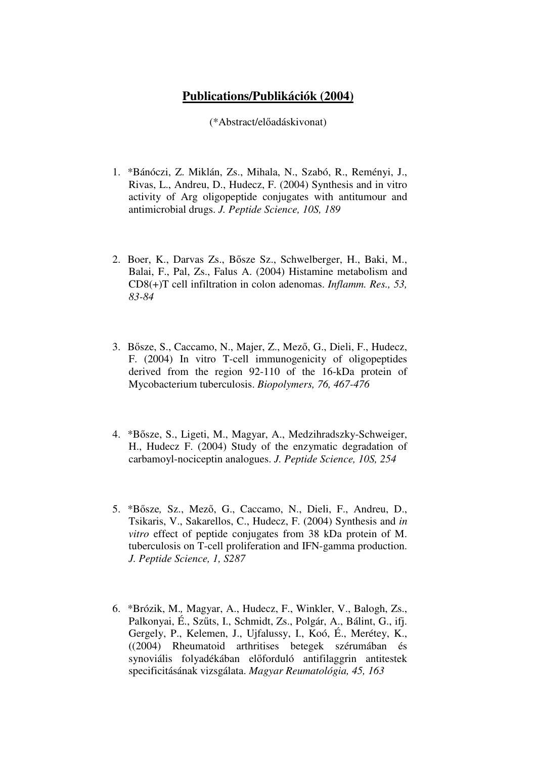## **Publications/Publikációk (2004)**

(\*Abstract/előadáskivonat)

- 1. \*Bánóczi, Z. Miklán, Zs., Mihala, N., Szabó, R., Reményi, J., Rivas, L., Andreu, D., Hudecz, F. (2004) Synthesis and in vitro activity of Arg oligopeptide conjugates with antitumour and antimicrobial drugs. *J. Peptide Science, 10S, 189*
- 2. Boer, K., Darvas Zs., Bősze Sz., Schwelberger, H., Baki, M., Balai, F., Pal, Zs., Falus A. (2004) Histamine metabolism and CD8(+)T cell infiltration in colon adenomas. *Inflamm. Res., 53, 83-84*
- 3. Bősze, S., Caccamo, N., Majer, Z., Mező, G., Dieli, F., Hudecz, F. (2004) In vitro T-cell immunogenicity of oligopeptides derived from the region 92-110 of the 16-kDa protein of Mycobacterium tuberculosis. *Biopolymers, 76, 467-476*
- 4. \*Bősze, S., Ligeti, M., Magyar, A., Medzihradszky-Schweiger, H., Hudecz F. (2004) Study of the enzymatic degradation of carbamoyl-nociceptin analogues. *J. Peptide Science, 10S, 254*
- 5. \*Bősze*,* Sz., Mező, G., Caccamo, N., Dieli, F., Andreu, D., Tsikaris, V., Sakarellos, C., Hudecz, F. (2004) Synthesis and *in vitro* effect of peptide conjugates from 38 kDa protein of M. tuberculosis on T-cell proliferation and IFN-gamma production. *J. Peptide Science, 1, S287*
- 6. \*Brózik, M.*,* Magyar, A., Hudecz, F., Winkler, V., Balogh, Zs., Palkonyai, É., Szűts, I., Schmidt, Zs., Polgár, A., Bálint, G., ifj. Gergely, P., Kelemen, J., Ujfalussy, I., Koó, É., Merétey, K., ((2004) Rheumatoid arthritises betegek szérumában és synoviális folyadékában előforduló antifilaggrin antitestek specificitásának vizsgálata. *Magyar Reumatológia, 45, 163*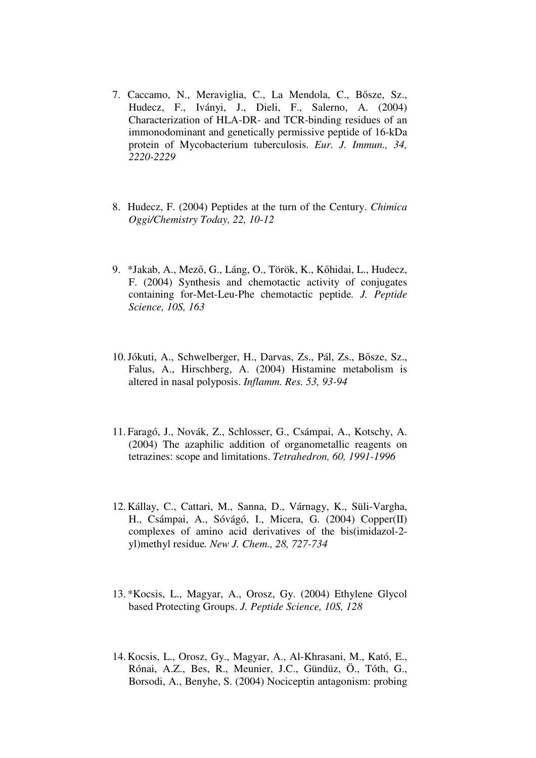- 7. Caccamo, N., Meraviglia, C., La Mendola, C., Bősze, Sz., Hudecz, F., Iványi, J., Dieli, F., Salerno, A. (2004) Characterization of HLA-DR- and TCR-binding residues of an immonodominant and genetically permissive peptide of 16-kDa protein of Mycobacterium tuberculosis. *Eur. J. Immun., 34, 2220-2229*
- 8. Hudecz, F. (2004) Peptides at the turn of the Century. *Chimica Oggi/Chemistry Today, 22, 10-12*
- 9. \*Jakab, A., Mező, G., Láng, O., Török, K., Kőhidai, L., Hudecz, F. (2004) Synthesis and chemotactic activity of conjugates containing for-Met-Leu-Phe chemotactic peptide*. J. Peptide Science, 10S, 163*
- 10.Jókuti, A., Schwelberger, H., Darvas, Zs., Pál, Zs., Bősze, Sz., Falus, A., Hirschberg, A. (2004) Histamine metabolism is altered in nasal polyposis. *Inflamm. Res. 53, 93-94*
- 11. Faragó, J., Novák, Z., Schlosser, G., Csámpai, A., Kotschy, A. (2004) The azaphilic addition of organometallic reagents on tetrazines: scope and limitations. *Tetrahedron, 60, 1991-1996*
- 12. Kállay, C., Cattari, M., Sanna, D., Várnagy, K., Süli-Vargha, H., Csámpai, A., Sóvágó, I., Micera, G. (2004) Copper(II) complexes of amino acid derivatives of the bis(imidazol-2 yl)methyl residue*. New J. Chem., 28, 727-734*
- 13. \*Kocsis, L., Magyar, A., Orosz, Gy. (2004) Ethylene Glycol based Protecting Groups. *J. Peptide Science, 10S, 128*
- 14. Kocsis, L., Orosz, Gy., Magyar, A., Al-Khrasani, M., Kató, E., Rónai, A.Z., Bes, R., Meunier, J.C., Gündüz, Ö., Tóth, G., Borsodi, A., Benyhe, S. (2004) Nociceptin antagonism: probing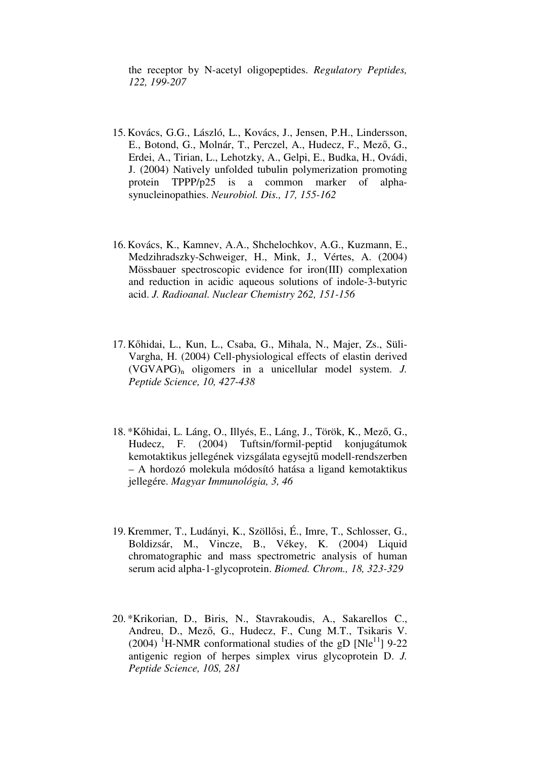the receptor by N-acetyl oligopeptides. *Regulatory Peptides, 122, 199-207*

- 15. Kovács, G.G., László, L., Kovács, J., Jensen, P.H., Lindersson, E., Botond, G., Molnár, T., Perczel, A., Hudecz, F., Mező, G., Erdei, A., Tirian, L., Lehotzky, A., Gelpi, E., Budka, H., Ovádi, J. (2004) Natively unfolded tubulin polymerization promoting protein TPPP/p25 is a common marker of alphasynucleinopathies. *Neurobiol. Dis., 17, 155-162*
- 16. Kovács, K., Kamnev, A.A., Shchelochkov, A.G., Kuzmann, E., Medzihradszky-Schweiger, H., Mink, J., Vértes, A. (2004) Mössbauer spectroscopic evidence for iron(III) complexation and reduction in acidic aqueous solutions of indole-3-butyric acid. *J. Radioanal. Nuclear Chemistry 262, 151-156*
- 17. Kőhidai, L., Kun, L., Csaba, G., Mihala, N., Majer, Zs., Süli-Vargha, H. (2004) Cell-physiological effects of elastin derived (VGVAPG)n oligomers in a unicellular model system. *J. Peptide Science, 10, 427-438*
- 18. \*Kőhidai, L. Láng, O., Illyés, E., Láng, J., Török, K., Mező, G., Hudecz, F. (2004) Tuftsin/formil-peptid konjugátumok kemotaktikus jellegének vizsgálata egysejtű modell-rendszerben – A hordozó molekula módosító hatása a ligand kemotaktikus jellegére. *Magyar Immunológia, 3, 46*
- 19. Kremmer, T., Ludányi, K., Szöllősi, É., Imre, T., Schlosser, G., Boldizsár, M., Vincze, B., Vékey, K. (2004) Liquid chromatographic and mass spectrometric analysis of human serum acid alpha-1-glycoprotein. *Biomed. Chrom., 18, 323-329*
- 20. \*Krikorian, D., Biris, N., Stavrakoudis, A., Sakarellos C., Andreu, D., Mező, G., Hudecz, F., Cung M.T., Tsikaris V.  $(2004)$  <sup>1</sup>H-NMR conformational studies of the gD [Nle<sup>11</sup>] 9-22 antigenic region of herpes simplex virus glycoprotein D. *J. Peptide Science, 10S, 281*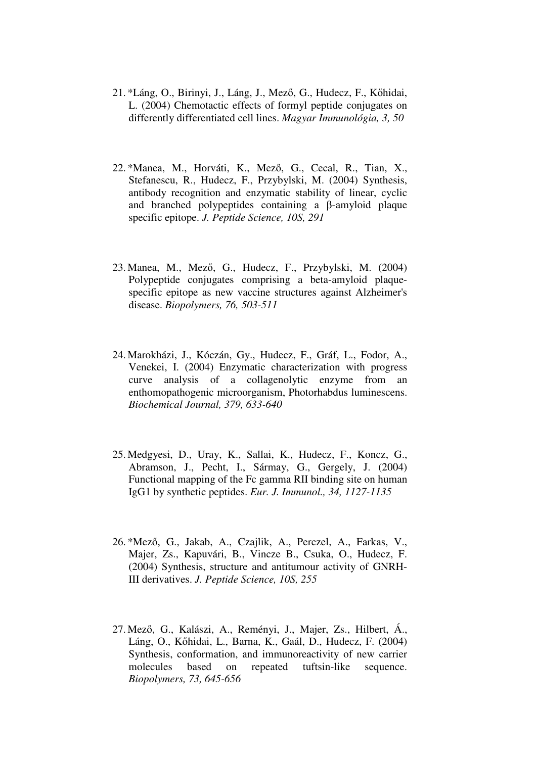- 21. \*Láng, O., Birinyi, J., Láng, J., Mező, G., Hudecz, F., Kőhidai, L. (2004) Chemotactic effects of formyl peptide conjugates on differently differentiated cell lines. *Magyar Immunológia, 3, 50*
- 22. \*Manea, M., Horváti, K., Mező, G., Cecal, R., Tian, X., Stefanescu, R., Hudecz, F., Przybylski, M. (2004) Synthesis, antibody recognition and enzymatic stability of linear, cyclic and branched polypeptides containing a β-amyloid plaque specific epitope. *J. Peptide Science, 10S, 291*
- 23. Manea, M., Mező, G., Hudecz, F., Przybylski, M. (2004) Polypeptide conjugates comprising a beta-amyloid plaquespecific epitope as new vaccine structures against Alzheimer's disease. *Biopolymers, 76, 503-511*
- 24. Marokházi, J., Kóczán, Gy., Hudecz, F., Gráf, L., Fodor, A., Venekei, I. (2004) Enzymatic characterization with progress curve analysis of a collagenolytic enzyme from an enthomopathogenic microorganism, Photorhabdus luminescens. *Biochemical Journal, 379, 633-640*
- 25. Medgyesi, D., Uray, K., Sallai, K., Hudecz, F., Koncz, G., Abramson, J., Pecht, I., Sármay, G., Gergely, J. (2004) Functional mapping of the Fc gamma RII binding site on human IgG1 by synthetic peptides. *Eur. J. Immunol., 34, 1127-1135*
- 26. \*Mező, G., Jakab, A., Czajlik, A., Perczel, A., Farkas, V., Majer, Zs., Kapuvári, B., Vincze B., Csuka, O., Hudecz, F. (2004) Synthesis, structure and antitumour activity of GNRH-III derivatives. *J. Peptide Science, 10S, 255*
- 27. Mező, G., Kalászi, A., Reményi, J., Majer, Zs., Hilbert, Á., Láng, O., Kőhidai, L., Barna, K., Gaál, D., Hudecz, F. (2004) Synthesis, conformation, and immunoreactivity of new carrier molecules based on repeated tuftsin-like sequence. *Biopolymers, 73, 645-656*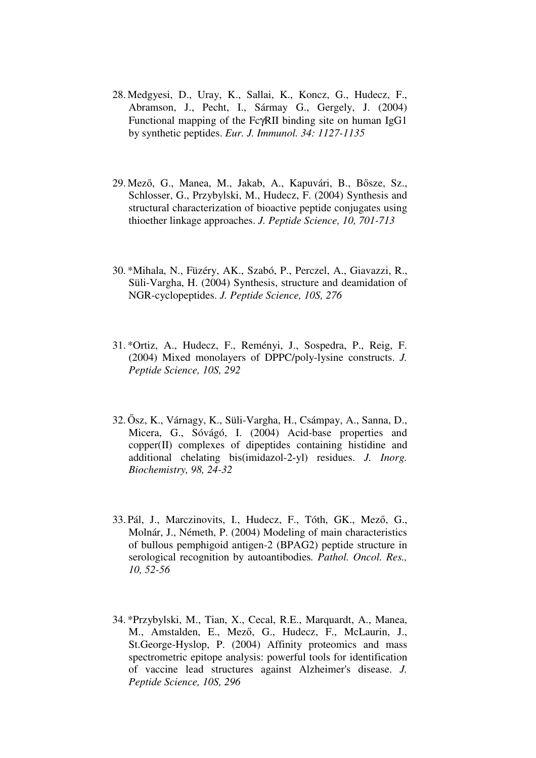- 28. Medgyesi, D., Uray, K., Sallai, K., Koncz, G., Hudecz, F., Abramson, J., Pecht, I., Sármay G., Gergely, J. (2004) Functional mapping of the FcγRII binding site on human IgG1 by synthetic peptides. *Eur. J. Immunol. 34: 1127-1135*
- 29. Mező, G., Manea, M., Jakab, A., Kapuvári, B., Bősze, Sz., Schlosser, G., Przybylski, M., Hudecz, F. (2004) Synthesis and structural characterization of bioactive peptide conjugates using thioether linkage approaches. *J. Peptide Science, 10, 701-713*
- 30. \*Mihala, N., Füzéry, AK., Szabó, P., Perczel, A., Giavazzi, R., Süli-Vargha, H. (2004) Synthesis, structure and deamidation of NGR-cyclopeptides. *J. Peptide Science, 10S, 276*
- 31. \*Ortiz, A., Hudecz, F., Reményi, J., Sospedra, P., Reig, F. (2004) Mixed monolayers of DPPC/poly-lysine constructs. *J. Peptide Science, 10S, 292*
- 32. Ősz, K., Várnagy, K., Süli-Vargha, H., Csámpay, A., Sanna, D., Micera, G., Sóvágó, I. (2004) Acid-base properties and copper(II) complexes of dipeptides containing histidine and additional chelating bis(imidazol-2-yl) residues. *J. Inorg. Biochemistry, 98, 24-32*
- 33. Pál, J., Marczinovits, I., Hudecz, F., Tóth, GK., Mező, G., Molnár, J., Németh, P. (2004) Modeling of main characteristics of bullous pemphigoid antigen-2 (BPAG2) peptide structure in serological recognition by autoantibodies*. Pathol. Oncol. Res., 10, 52-56*
- 34. \*Przybylski, M., Tian, X., Cecal, R.E., Marquardt, A., Manea, M., Amstalden, E., Mező, G., Hudecz, F., McLaurin, J., St.George-Hyslop, P. (2004) Affinity proteomics and mass spectrometric epitope analysis: powerful tools for identification of vaccine lead structures against Alzheimer's disease. *J. Peptide Science, 10S, 296*